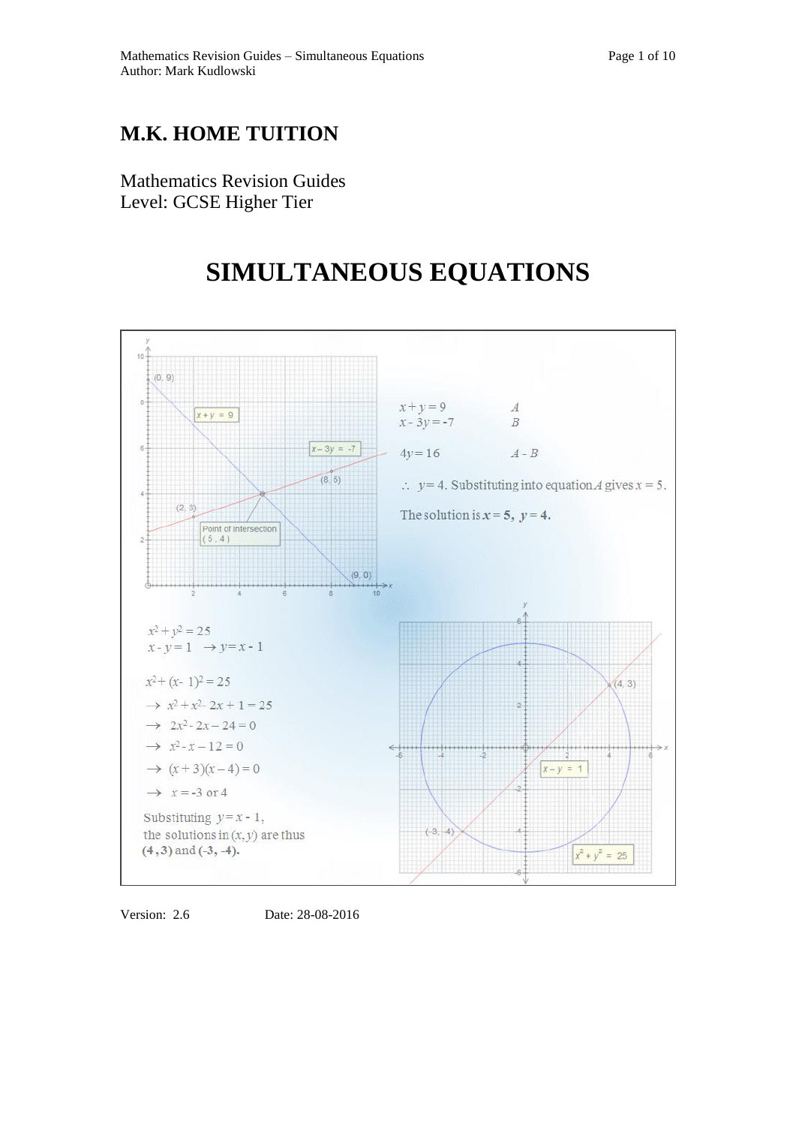## **M.K. HOME TUITION**

Mathematics Revision Guides Level: GCSE Higher Tier

# **SIMULTANEOUS EQUATIONS**



Version: 2.6 Date: 28-08-2016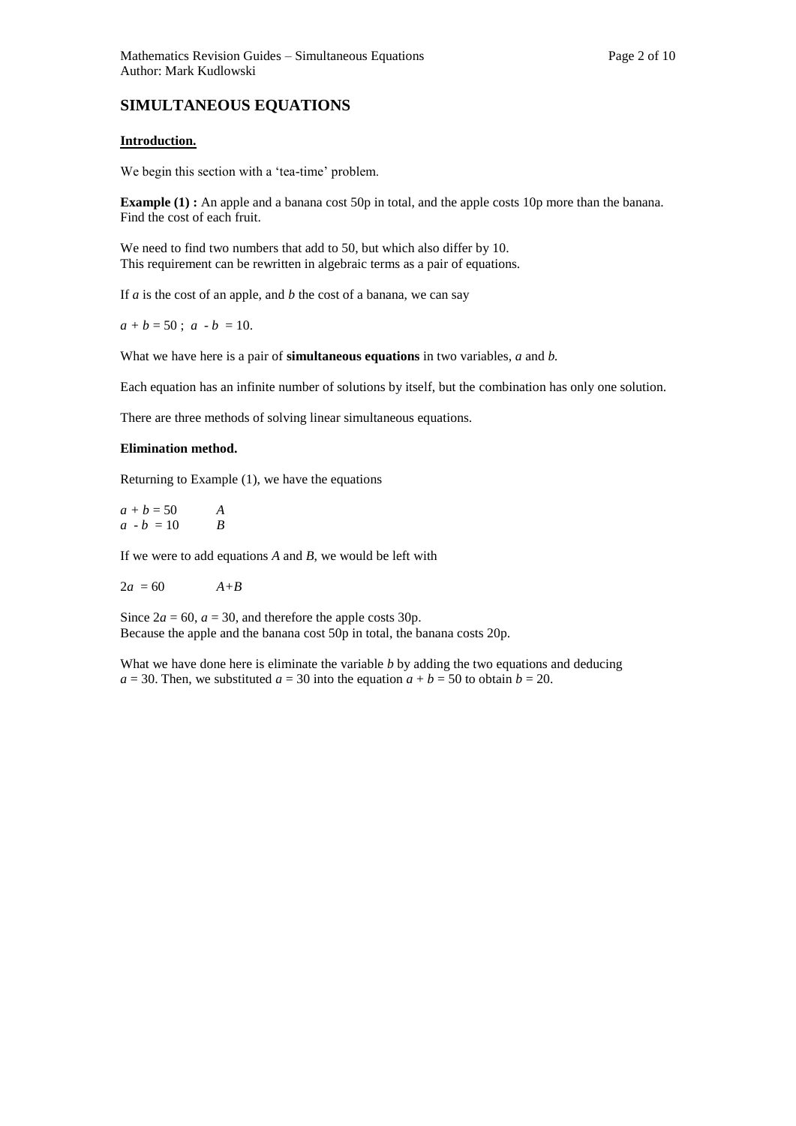### **SIMULTANEOUS EQUATIONS**

#### **Introduction.**

We begin this section with a 'tea-time' problem.

**Example (1) :** An apple and a banana cost 50p in total, and the apple costs 10p more than the banana. Find the cost of each fruit.

We need to find two numbers that add to 50, but which also differ by 10. This requirement can be rewritten in algebraic terms as a pair of equations.

If *a* is the cost of an apple, and *b* the cost of a banana, we can say

 $a + b = 50$ ;  $a - b = 10$ .

What we have here is a pair of **simultaneous equations** in two variables, *a* and *b.* 

Each equation has an infinite number of solutions by itself, but the combination has only one solution.

There are three methods of solving linear simultaneous equations.

#### **Elimination method.**

Returning to Example (1), we have the equations

 $a + b = 50$  *A*  $a - b = 10$  *B* 

If we were to add equations *A* and *B*, we would be left with

$$
2a = 60 \qquad \qquad A + B
$$

Since  $2a = 60$ ,  $a = 30$ , and therefore the apple costs 30p. Because the apple and the banana cost 50p in total, the banana costs 20p.

What we have done here is eliminate the variable *b* by adding the two equations and deducing  $a = 30$ . Then, we substituted  $a = 30$  into the equation  $a + b = 50$  to obtain  $b = 20$ .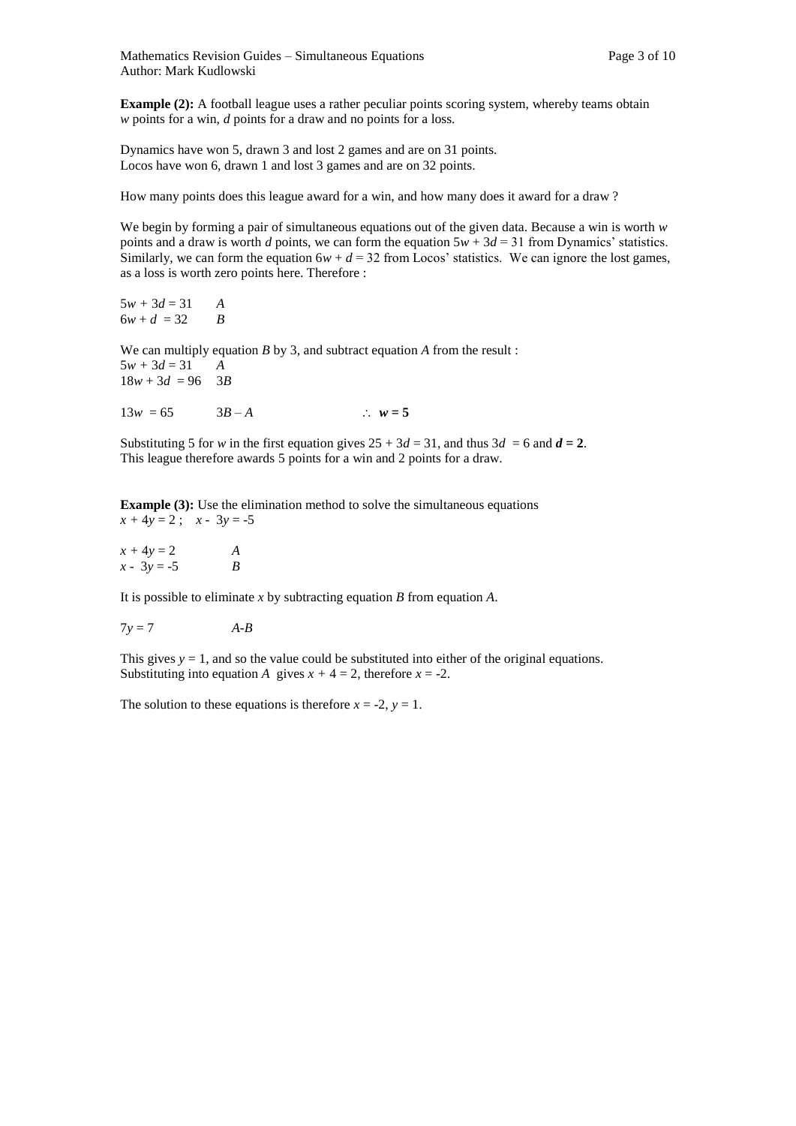Mathematics Revision Guides – Simultaneous Equations Page 3 of 10 Author: Mark Kudlowski

**Example (2):** A football league uses a rather peculiar points scoring system, whereby teams obtain *w* points for a win, *d* points for a draw and no points for a loss.

Dynamics have won 5, drawn 3 and lost 2 games and are on 31 points. Locos have won 6, drawn 1 and lost 3 games and are on 32 points.

How many points does this league award for a win, and how many does it award for a draw ?

We begin by forming a pair of simultaneous equations out of the given data. Because a win is worth *w*  points and a draw is worth *d* points, we can form the equation  $5w + 3d = 31$  from Dynamics' statistics. Similarly, we can form the equation  $6w + d = 32$  from Locos' statistics. We can ignore the lost games, as a loss is worth zero points here. Therefore :

 $5w + 3d = 31$  *A*  $6w + d = 32$  *B* 

We can multiply equation *B* by 3, and subtract equation *A* from the result :  $5w + 3d = 31$  *A*  $18w + 3d = 96$  3*B* 

 $13w = 65$   $3B - A$   $\therefore w = 5$ 

Substituting 5 for *w* in the first equation gives  $25 + 3d = 31$ , and thus  $3d = 6$  and  $d = 2$ . This league therefore awards 5 points for a win and 2 points for a draw.

**Example (3):** Use the elimination method to solve the simultaneous equations  $x + 4y = 2$ ;  $x - 3y = -5$ 

 $x + 4y = 2$  *A*  $x - 3y = -5$  *B* 

It is possible to eliminate *x* by subtracting equation *B* from equation *A*.

$$
7y = 7
$$
  $A-B$ 

This gives  $y = 1$ , and so the value could be substituted into either of the original equations. Substituting into equation *A* gives  $x + 4 = 2$ , therefore  $x = -2$ .

The solution to these equations is therefore  $x = -2$ ,  $y = 1$ .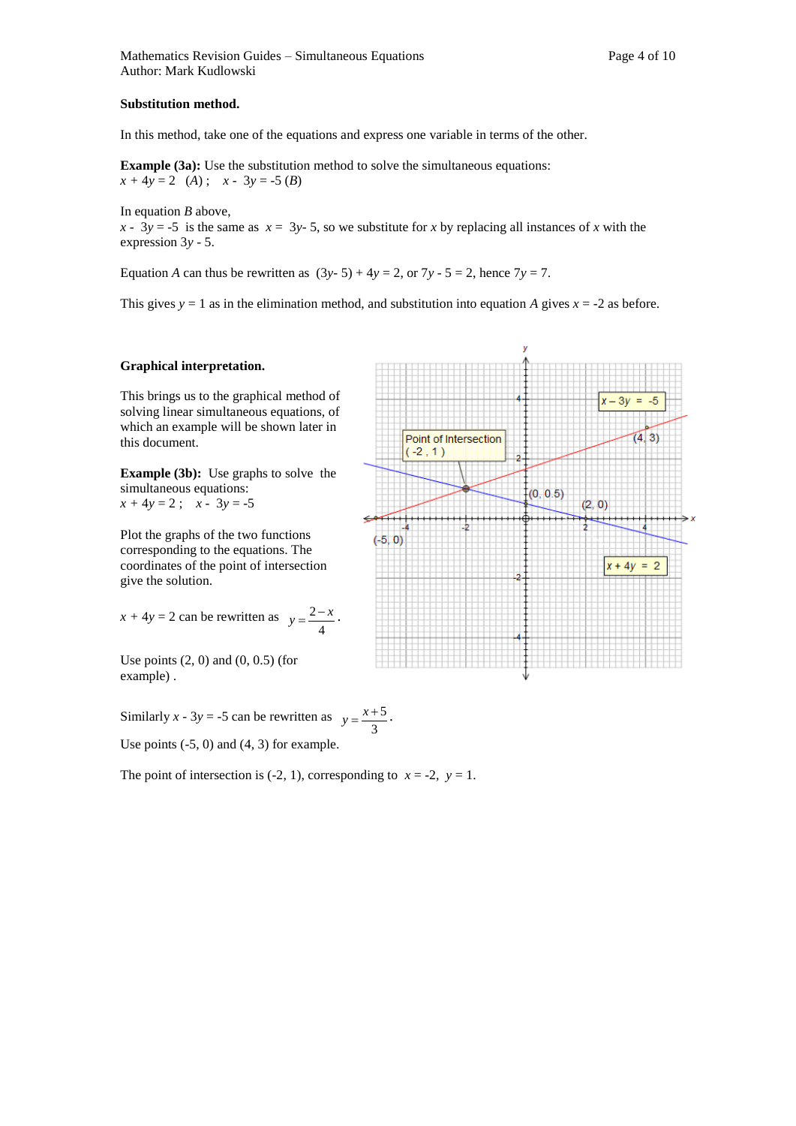In this method, take one of the equations and express one variable in terms of the other.

**Example (3a):** Use the substitution method to solve the simultaneous equations:  $x + 4y = 2$  (*A*);  $x - 3y = -5$  (*B*)

In equation *B* above,

 $x - 3y = -5$  is the same as  $x = 3y - 5$ , so we substitute for *x* by replacing all instances of *x* with the expression 3*y* - 5.

Equation *A* can thus be rewritten as  $(3y-5) + 4y = 2$ , or  $7y - 5 = 2$ , hence  $7y = 7$ .

This gives  $y = 1$  as in the elimination method, and substitution into equation *A* gives  $x = -2$  as before.

#### **Graphical interpretation.**

This brings us to the graphical method of solving linear simultaneous equations, of which an example will be shown later in this document.

**Example (3b):** Use graphs to solve the simultaneous equations:  $x + 4y = 2$ ;  $x - 3y = -5$ 

Plot the graphs of the two functions corresponding to the equations. The coordinates of the point of intersection give the solution.

$$
x + 4y = 2
$$
 can be rewritten as  $y = \frac{2-x}{4}$ .

Use points  $(2, 0)$  and  $(0, 0.5)$  (for example) .

Similarly  $x - 3y = -5$  can be rewritten as 3  $y = \frac{x+5}{2}$ .

Use points  $(-5, 0)$  and  $(4, 3)$  for example.

The point of intersection is (-2, 1), corresponding to  $x = -2$ ,  $y = 1$ .

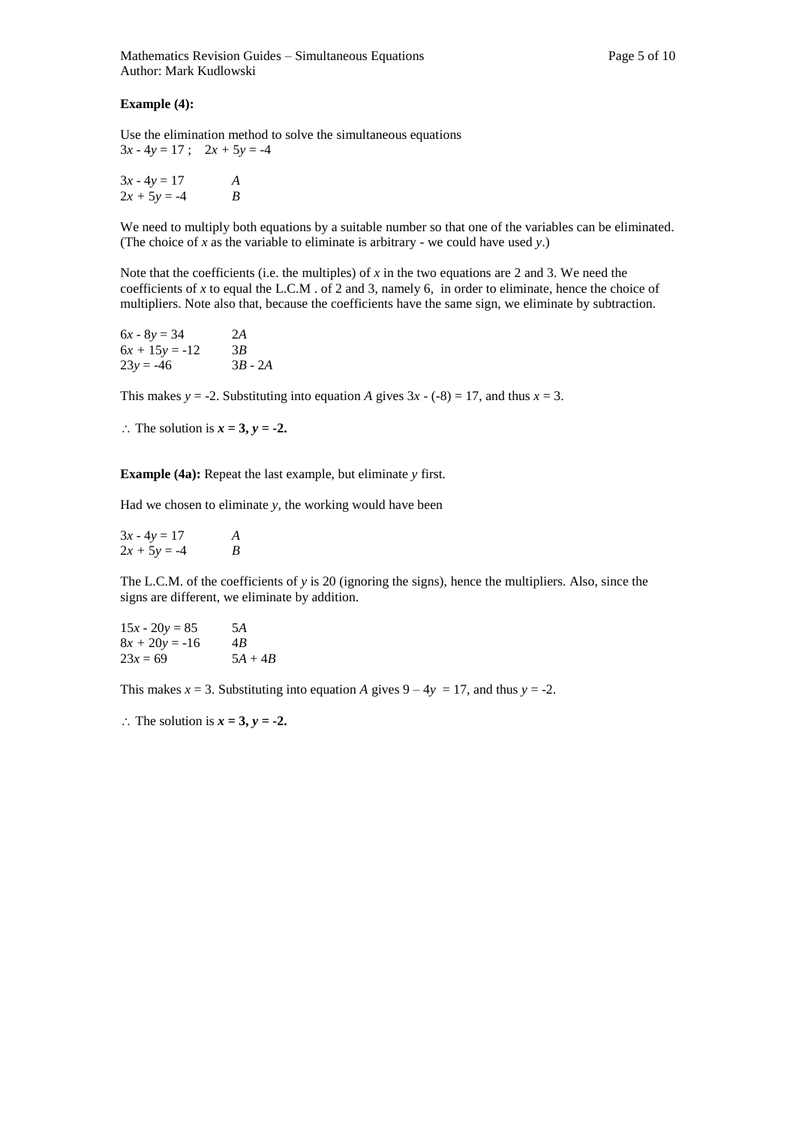#### **Example (4):**

Use the elimination method to solve the simultaneous equations  $3x - 4y = 17$ ;  $2x + 5y = -4$ 

 $3x - 4y = 17$  *A*  $2x + 5y = -4$  *B* 

We need to multiply both equations by a suitable number so that one of the variables can be eliminated. (The choice of *x* as the variable to eliminate is arbitrary - we could have used *y*.)

Note that the coefficients (i.e. the multiples) of *x* in the two equations are 2 and 3. We need the coefficients of *x* to equal the L.C.M . of 2 and 3, namely 6, in order to eliminate, hence the choice of multipliers. Note also that, because the coefficients have the same sign, we eliminate by subtraction.

| $6x - 8y = 34$   | 2A        |
|------------------|-----------|
| $6x + 15y = -12$ | 3B        |
| $23y = -46$      | $3B - 2A$ |

This makes  $y = -2$ . Substituting into equation *A* gives  $3x - (-8) = 17$ , and thus  $x = 3$ .

 $\therefore$  The solution is  $x = 3$ ,  $y = -2$ .

**Example (4a):** Repeat the last example, but eliminate *y* first*.* 

Had we chosen to eliminate *y,* the working would have been

| $3x - 4y = 17$ | A |
|----------------|---|
| $2x + 5y = -4$ | B |

The L.C.M. of the coefficients of *y* is 20 (ignoring the signs), hence the multipliers. Also, since the signs are different, we eliminate by addition.

$$
15x - 20y = 85\n8x + 20y = -16\n23x = 69
$$
\n5A + 4B

This makes  $x = 3$ . Substituting into equation *A* gives  $9 - 4y = 17$ , and thus  $y = -2$ .

 $\therefore$  The solution is  $x = 3$ ,  $y = -2$ .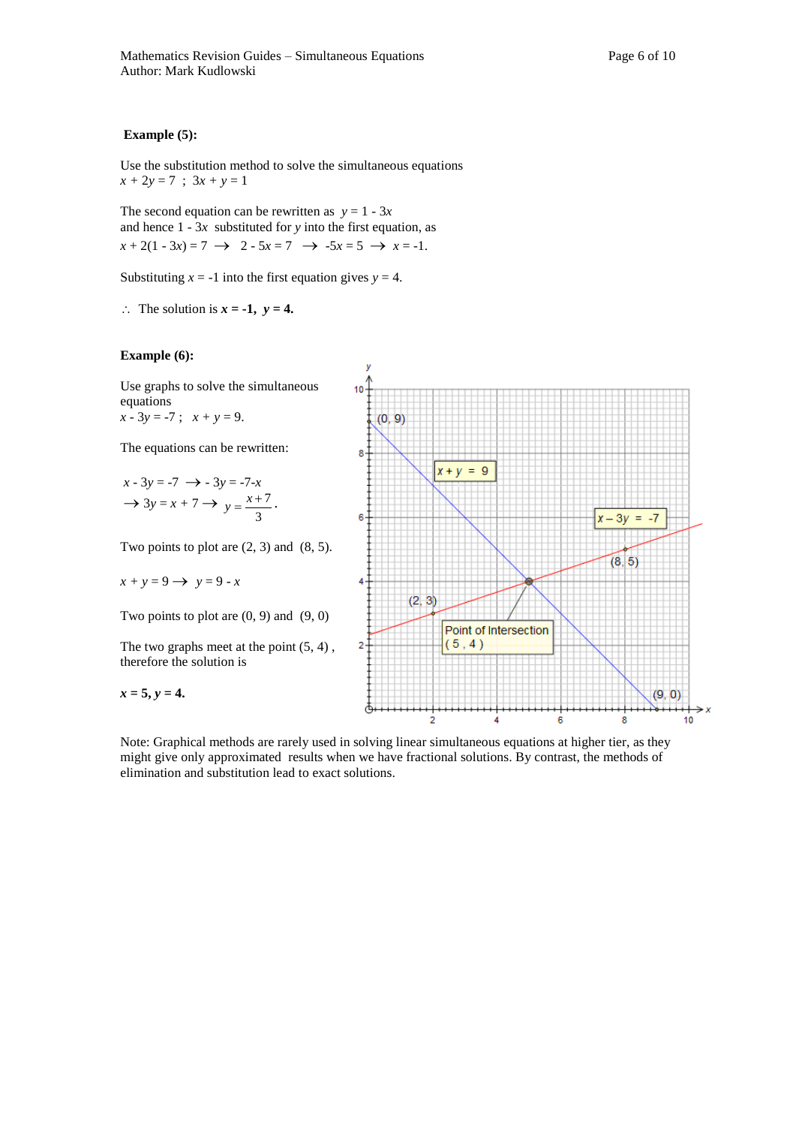#### **Example (5):**

Use the substitution method to solve the simultaneous equations  $x + 2y = 7$ ;  $3x + y = 1$ 

The second equation can be rewritten as  $y = 1 - 3x$ and hence 1 - 3*x* substituted for *y* into the first equation, as  $x + 2(1 - 3x) = 7 \rightarrow 2 - 5x = 7 \rightarrow -5x = 5 \rightarrow x = -1.$ 

Substituting  $x = -1$  into the first equation gives  $y = 4$ .

 $\therefore$  The solution is  $x = -1$ ,  $y = 4$ .



Use graphs to solve the simultaneous equations  $x - 3y = -7$ ;  $x + y = 9$ .

The equations can be rewritten:

$$
x - 3y = -7 \rightarrow -3y = -7-x
$$

$$
\rightarrow 3y = x + 7 \rightarrow y = \frac{x+7}{3}.
$$

Two points to plot are  $(2, 3)$  and  $(8, 5)$ .

$$
x + y = 9 \longrightarrow y = 9 - x
$$

Two points to plot are  $(0, 9)$  and  $(9, 0)$ 

The two graphs meet at the point (5, 4) , therefore the solution is

 $x = 5, y = 4.$ 



Note: Graphical methods are rarely used in solving linear simultaneous equations at higher tier, as they might give only approximated results when we have fractional solutions. By contrast, the methods of elimination and substitution lead to exact solutions.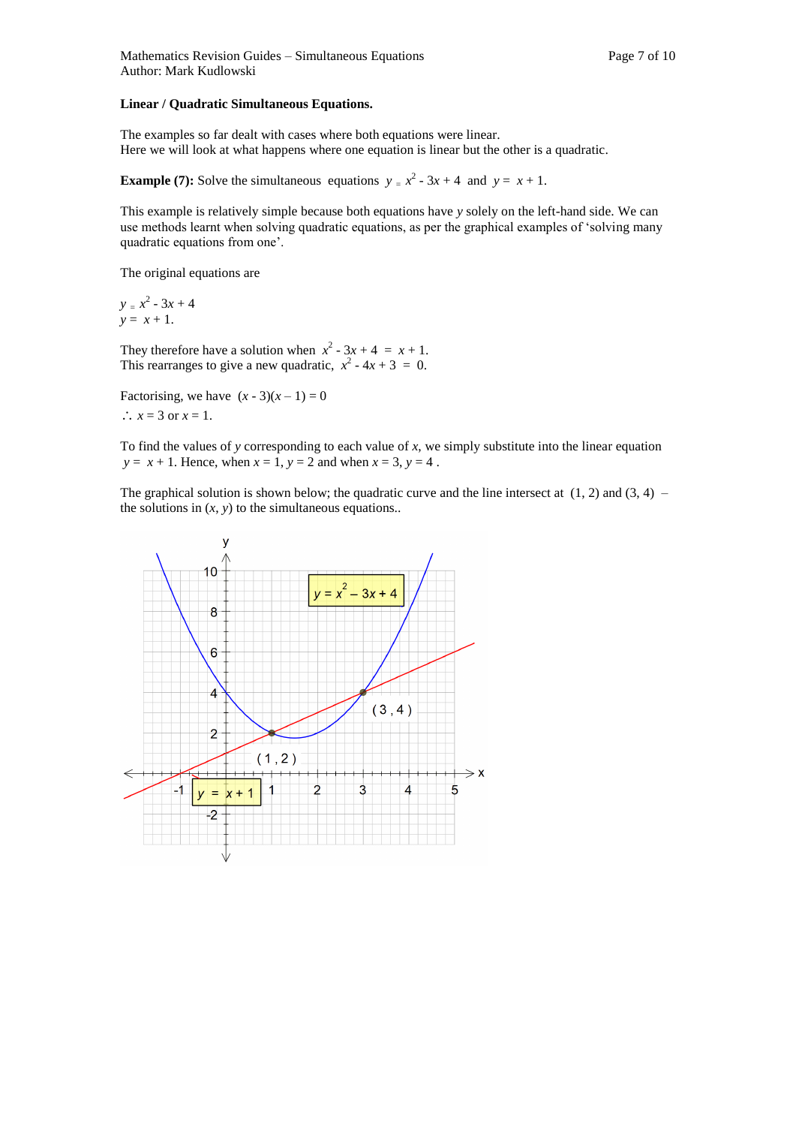#### **Linear / Quadratic Simultaneous Equations.**

The examples so far dealt with cases where both equations were linear. Here we will look at what happens where one equation is linear but the other is a quadratic.

**Example (7):** Solve the simultaneous equations  $y = x^2 - 3x + 4$  and  $y = x + 1$ .

This example is relatively simple because both equations have *y* solely on the left-hand side. We can use methods learnt when solving quadratic equations, as per the graphical examples of 'solving many quadratic equations from one'.

The original equations are

 $y = x^2 - 3x + 4$  $y = x + 1$ .

They therefore have a solution when  $x^2 - 3x + 4 = x + 1$ . This rearranges to give a new quadratic,  $x^2 - 4x + 3 = 0$ .

Factorising, we have  $(x - 3)(x - 1) = 0$  $\therefore$  *x* = 3 or *x* = 1.

To find the values of *y* corresponding to each value of *x*, we simply substitute into the linear equation *y* =  $x + 1$ . Hence, when  $x = 1$ ,  $y = 2$  and when  $x = 3$ ,  $y = 4$ .

The graphical solution is shown below; the quadratic curve and the line intersect at  $(1, 2)$  and  $(3, 4)$  – the solutions in  $(x, y)$  to the simultaneous equations..

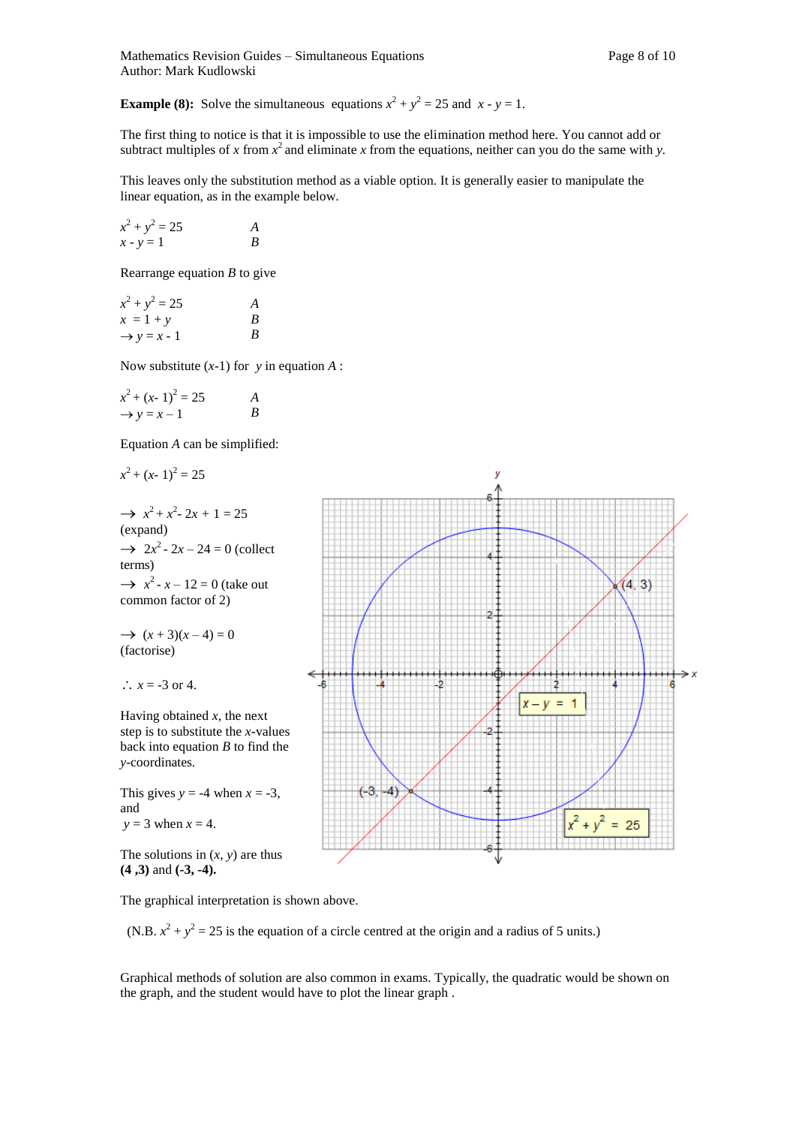**Example (8):** Solve the simultaneous equations  $x^2 + y^2 = 25$  and  $x - y = 1$ .

The first thing to notice is that it is impossible to use the elimination method here. You cannot add or subtract multiples of x from  $x^2$  and eliminate x from the equations, neither can you do the same with y.

This leaves only the substitution method as a viable option. It is generally easier to manipulate the linear equation, as in the example below.

$$
x2 + y2 = 25
$$
  

$$
x - y = 1
$$
  
*B*

Rearrange equation *B* to give

| $x^2 + y^2 = 25$        | A |
|-------------------------|---|
| $x = 1 + y$             | B |
| $\rightarrow y = x - 1$ | B |

Now substitute (*x*-1) for *y* in equation *A* :

| $x^2 + (x - 1)^2 = 25$  | A |
|-------------------------|---|
| $\rightarrow$ y = x - 1 | B |

Equation *A* can be simplified:

$$
x^2 + (x - 1)^2 = 25
$$

 $\rightarrow x^2 + x^2 - 2x + 1 = 25$ (expand)  $\rightarrow$  2*x*<sup>2</sup> - 2*x* – 24 = 0 (collect terms)  $\rightarrow x^2 - x - 12 = 0$  (take out common factor of 2)

 $\rightarrow$   $(x+3)(x-4) = 0$ (factorise)

$$
\therefore x = -3 \text{ or } 4.
$$

Having obtained *x,* the next step is to substitute the *x-*values back into equation *B* to find the *y*-coordinates*.* 

This gives  $y = -4$  when  $x = -3$ , and  $y = 3$  when  $x = 4$ .

The solutions in  $(x, y)$  are thus **(4 ,3)** and **(-3, -4).**

The graphical interpretation is shown above.

(N.B.  $x^2 + y^2 = 25$  is the equation of a circle centred at the origin and a radius of 5 units.)

Graphical methods of solution are also common in exams. Typically, the quadratic would be shown on the graph, and the student would have to plot the linear graph .

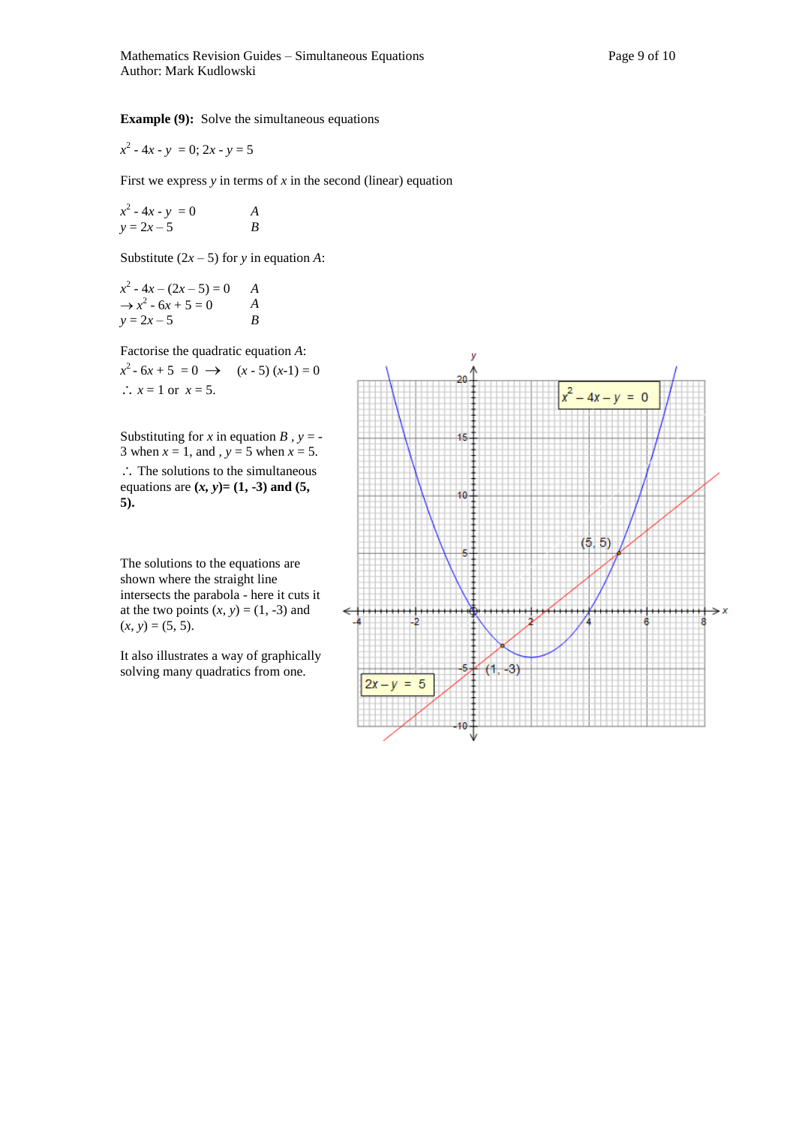**Example (9):** Solve the simultaneous equations

 $x^2 - 4x - y = 0$ ; 2*x* - *y* = 5

First we express  $y$  in terms of  $x$  in the second (linear) equation

 $x^2 - 4x - y = 0$  *A*  $y = 2x - 5$  *B* 

Substitute  $(2x - 5)$  for *y* in equation *A*:

$$
x^{2}-4x - (2x - 5) = 0
$$
  
\n
$$
\rightarrow x^{2} - 6x + 5 = 0
$$
  
\n
$$
y = 2x - 5
$$
  
\n*B*

Factorise the quadratic equation *A*:

$$
x^2
$$
- 6x + 5 = 0 → (x - 5) (x-1) = 0  
∴ x = 1 or x = 5.

Substituting for *x* in equation *B*,  $y = -$ 3 when  $x = 1$ , and  $y = 5$  when  $x = 5$ .  $\therefore$  The solutions to the simultaneous equations are  $(x, y) = (1, -3)$  and  $(5,$ **5).**

The solutions to the equations are shown where the straight line intersects the parabola - here it cuts it at the two points  $(x, y) = (1, -3)$  and  $(x, y) = (5, 5).$ 

It also illustrates a way of graphically solving many quadratics from one.